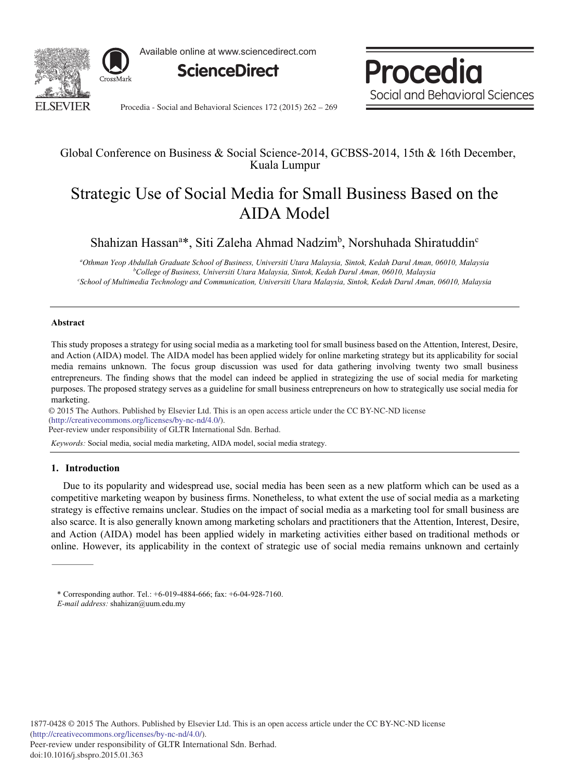

Available online at www.sciencedirect.com



Procedia Social and Behavioral Sciences

Procedia - Social and Behavioral Sciences 172 (2015) 262 - 269

# Global Conference on Business & Social Science-2014, GCBSS-2014, 15th & 16th December, Kuala Lumpur

# Strategic Use of Social Media for Small Business Based on the AIDA Model

Shahizan Hassan<sup>a\*</sup>, Siti Zaleha Ahmad Nadzim<sup>b</sup>, Norshuhada Shiratuddin<sup>c</sup>

*a Othman Yeop Abdullah Graduate School of Business, Universiti Utara Malaysia, Sintok, Kedah Darul Aman, 06010, Malaysia b College of Business, Universiti Utara Malaysia, Sintok, Kedah Darul Aman, 06010, Malaysia c School of Multimedia Technology and Communication, Universiti Utara Malaysia, Sintok, Kedah Darul Aman, 06010, Malaysia*

# **Abstract**

This study proposes a strategy for using social media as a marketing tool for small business based on the Attention, Interest, Desire, and Action (AIDA) model. The AIDA model has been applied widely for online marketing strategy but its applicability for social media remains unknown. The focus group discussion was used for data gathering involving twenty two small business entrepreneurs. The finding shows that the model can indeed be applied in strategizing the use of social media for marketing purposes. The proposed strategy serves as a guideline for small business entrepreneurs on how to strategically use social media for marketing.

© 2015 The Authors. Published by Elsevier Ltd. © 2015 The Authors. Published by Elsevier Ltd. This is an open access article under the CC BY-NC-ND license (http://creativecommons.org/licenses/by-nc-nd/4.0/).

Peer-review under responsibility of GLTR International Sdn. Berhad.

*Keywords:* Social media, social media marketing, AIDA model, social media strategy.

# **1. Introduction**

Due to its popularity and widespread use, social media has been seen as a new platform which can be used as a competitive marketing weapon by business firms. Nonetheless, to what extent the use of social media as a marketing strategy is effective remains unclear. Studies on the impact of social media as a marketing tool for small business are also scarce. It is also generally known among marketing scholars and practitioners that the Attention, Interest, Desire, and Action (AIDA) model has been applied widely in marketing activities either based on traditional methods or online. However, its applicability in the context of strategic use of social media remains unknown and certainly

<sup>\*</sup> Corresponding author. Tel.: +6-019-4884-666; fax: +6-04-928-7160. *E-mail address:* shahizan@uum.edu.my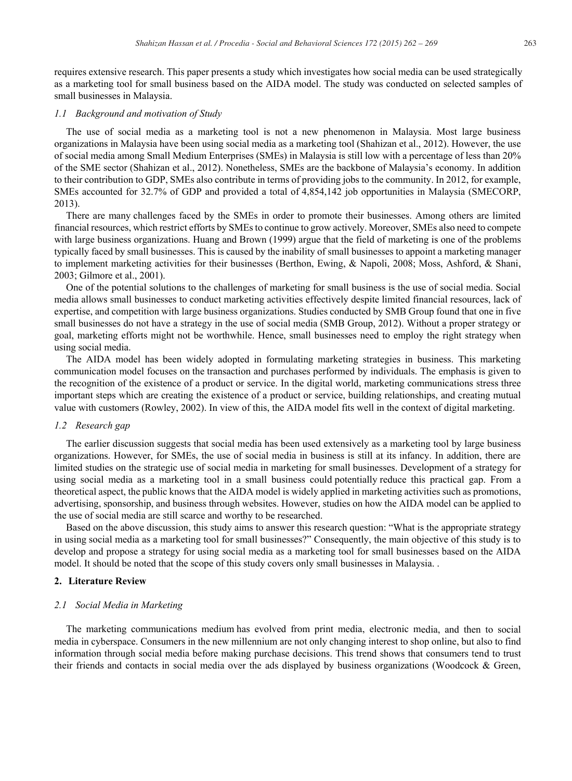requires extensive research. This paper presents a study which investigates how social media can be used strategically as a marketing tool for small business based on the AIDA model. The study was conducted on selected samples of small businesses in Malaysia.

#### *1.1 Background and motivation of Study*

The use of social media as a marketing tool is not a new phenomenon in Malaysia. Most large business organizations in Malaysia have been using social media as a marketing tool (Shahizan et al., 2012). However, the use of social media among Small Medium Enterprises (SMEs) in Malaysia is still low with a percentage of less than 20% of the SME sector (Shahizan et al., 2012). Nonetheless, SMEs are the backbone of Malaysia's economy. In addition to their contribution to GDP, SMEs also contribute in terms of providing jobs to the community. In 2012, for example, SMEs accounted for 32.7% of GDP and provided a total of 4,854,142 job opportunities in Malaysia (SMECORP, 2013).

There are many challenges faced by the SMEs in order to promote their businesses. Among others are limited financial resources, which restrict efforts by SMEs to continue to grow actively. Moreover, SMEs also need to compete with large business organizations. Huang and Brown (1999) argue that the field of marketing is one of the problems typically faced by small businesses. This is caused by the inability of small businesses to appoint a marketing manager to implement marketing activities for their businesses (Berthon, Ewing, & Napoli, 2008; Moss, Ashford, & Shani, 2003; Gilmore et al., 2001).

One of the potential solutions to the challenges of marketing for small business is the use of social media. Social media allows small businesses to conduct marketing activities effectively despite limited financial resources, lack of expertise, and competition with large business organizations. Studies conducted by SMB Group found that one in five small businesses do not have a strategy in the use of social media (SMB Group, 2012). Without a proper strategy or goal, marketing efforts might not be worthwhile. Hence, small businesses need to employ the right strategy when using social media.

The AIDA model has been widely adopted in formulating marketing strategies in business. This marketing communication model focuses on the transaction and purchases performed by individuals. The emphasis is given to the recognition of the existence of a product or service. In the digital world, marketing communications stress three important steps which are creating the existence of a product or service, building relationships, and creating mutual value with customers (Rowley, 2002). In view of this, the AIDA model fits well in the context of digital marketing.

#### *1.2 Research gap*

The earlier discussion suggests that social media has been used extensively as a marketing tool by large business organizations. However, for SMEs, the use of social media in business is still at its infancy. In addition, there are limited studies on the strategic use of social media in marketing for small businesses. Development of a strategy for using social media as a marketing tool in a small business could potentially reduce this practical gap. From a theoretical aspect, the public knows that the AIDA model is widely applied in marketing activities such as promotions, advertising, sponsorship, and business through websites. However, studies on how the AIDA model can be applied to the use of social media are still scarce and worthy to be researched.

Based on the above discussion, this study aims to answer this research question: "What is the appropriate strategy in using social media as a marketing tool for small businesses?" Consequently, the main objective of this study is to develop and propose a strategy for using social media as a marketing tool for small businesses based on the AIDA model. It should be noted that the scope of this study covers only small businesses in Malaysia. .

#### **2. Literature Review**

#### *2.1 Social Media in Marketing*

The marketing communications medium has evolved from print media, electronic media, and then to social media in cyberspace. Consumers in the new millennium are not only changing interest to shop online, but also to find information through social media before making purchase decisions. This trend shows that consumers tend to trust their friends and contacts in social media over the ads displayed by business organizations (Woodcock & Green,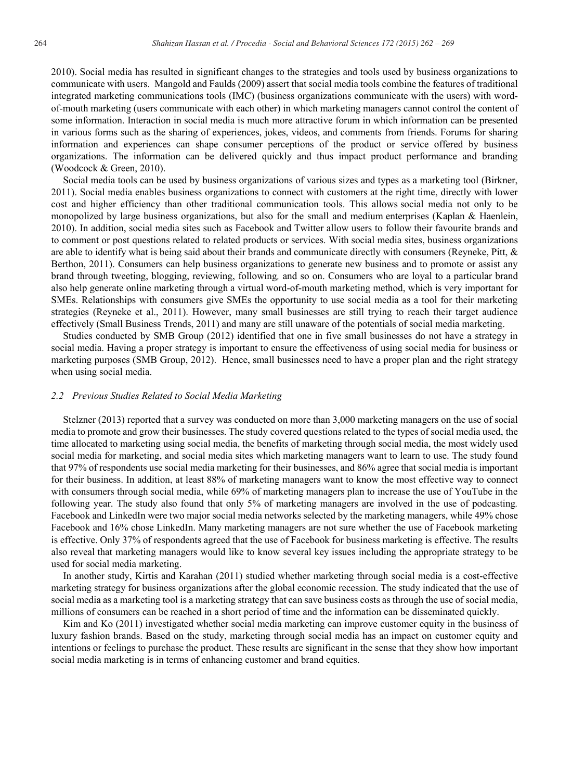2010). Social media has resulted in significant changes to the strategies and tools used by business organizations to communicate with users. Mangold and Faulds (2009) assert that social media tools combine the features of traditional integrated marketing communications tools (IMC) (business organizations communicate with the users) with wordof-mouth marketing (users communicate with each other) in which marketing managers cannot control the content of some information. Interaction in social media is much more attractive forum in which information can be presented in various forms such as the sharing of experiences, jokes, videos, and comments from friends. Forums for sharing information and experiences can shape consumer perceptions of the product or service offered by business organizations. The information can be delivered quickly and thus impact product performance and branding (Woodcock & Green, 2010).

Social media tools can be used by business organizations of various sizes and types as a marketing tool (Birkner, 2011). Social media enables business organizations to connect with customers at the right time, directly with lower cost and higher efficiency than other traditional communication tools. This allows social media not only to be monopolized by large business organizations, but also for the small and medium enterprises (Kaplan & Haenlein, 2010). In addition, social media sites such as Facebook and Twitter allow users to follow their favourite brands and to comment or post questions related to related products or services. With social media sites, business organizations are able to identify what is being said about their brands and communicate directly with consumers (Reyneke, Pitt, & Berthon, 2011). Consumers can help business organizations to generate new business and to promote or assist any brand through tweeting, blogging, reviewing, following*,* and so on. Consumers who are loyal to a particular brand also help generate online marketing through a virtual word-of-mouth marketing method, which is very important for SMEs. Relationships with consumers give SMEs the opportunity to use social media as a tool for their marketing strategies (Reyneke et al., 2011). However, many small businesses are still trying to reach their target audience effectively (Small Business Trends, 2011) and many are still unaware of the potentials of social media marketing.

Studies conducted by SMB Group (2012) identified that one in five small businesses do not have a strategy in social media. Having a proper strategy is important to ensure the effectiveness of using social media for business or marketing purposes (SMB Group, 2012). Hence, small businesses need to have a proper plan and the right strategy when using social media.

# *2.2 Previous Studies Related to Social Media Marketing*

Stelzner (2013) reported that a survey was conducted on more than 3,000 marketing managers on the use of social media to promote and grow their businesses. The study covered questions related to the types of social media used, the time allocated to marketing using social media, the benefits of marketing through social media, the most widely used social media for marketing, and social media sites which marketing managers want to learn to use. The study found that 97% of respondents use social media marketing for their businesses, and 86% agree that social media is important for their business. In addition, at least 88% of marketing managers want to know the most effective way to connect with consumers through social media, while 69% of marketing managers plan to increase the use of YouTube in the following year. The study also found that only 5% of marketing managers are involved in the use of podcasting*.*  Facebook and LinkedIn were two major social media networks selected by the marketing managers, while 49% chose Facebook and 16% chose LinkedIn. Many marketing managers are not sure whether the use of Facebook marketing is effective. Only 37% of respondents agreed that the use of Facebook for business marketing is effective. The results also reveal that marketing managers would like to know several key issues including the appropriate strategy to be used for social media marketing.

In another study, Kirtis and Karahan (2011) studied whether marketing through social media is a cost-effective marketing strategy for business organizations after the global economic recession. The study indicated that the use of social media as a marketing tool is a marketing strategy that can save business costs as through the use of social media, millions of consumers can be reached in a short period of time and the information can be disseminated quickly.

Kim and Ko (2011) investigated whether social media marketing can improve customer equity in the business of luxury fashion brands. Based on the study, marketing through social media has an impact on customer equity and intentions or feelings to purchase the product. These results are significant in the sense that they show how important social media marketing is in terms of enhancing customer and brand equities.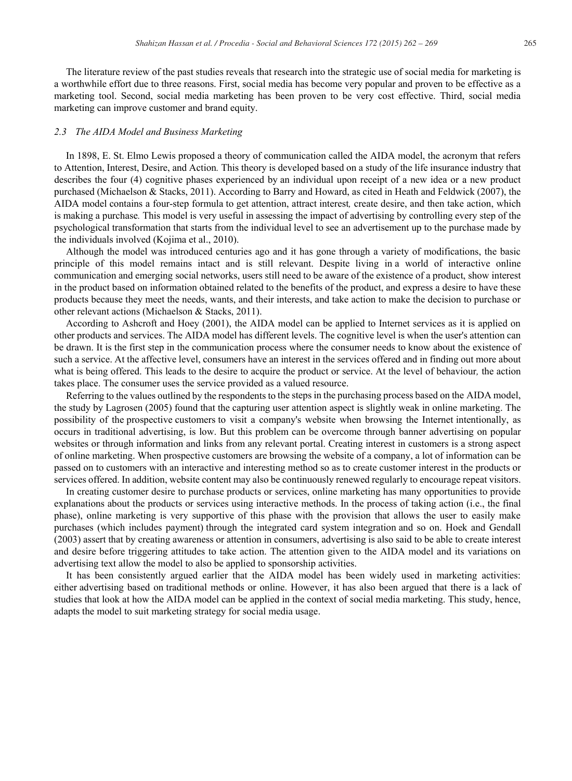The literature review of the past studies reveals that research into the strategic use of social media for marketing is a worthwhile effort due to three reasons. First, social media has become very popular and proven to be effective as a marketing tool. Second, social media marketing has been proven to be very cost effective. Third, social media marketing can improve customer and brand equity.

# *2.3 The AIDA Model and Business Marketing*

In 1898, E. St. Elmo Lewis proposed a theory of communication called the AIDA model, the acronym that refers to Attention, Interest, Desire, and Action*.* This theory is developed based on a study of the life insurance industry that describes the four (4) cognitive phases experienced by an individual upon receipt of a new idea or a new product purchased (Michaelson & Stacks, 2011). According to Barry and Howard, as cited in Heath and Feldwick (2007), the AIDA model contains a four-step formula to get attention, attract interest*,* create desire, and then take action, which is making a purchase*.* This model is very useful in assessing the impact of advertising by controlling every step of the psychological transformation that starts from the individual level to see an advertisement up to the purchase made by the individuals involved (Kojima et al., 2010).

Although the model was introduced centuries ago and it has gone through a variety of modifications, the basic principle of this model remains intact and is still relevant. Despite living in a world of interactive online communication and emerging social networks, users still need to be aware of the existence of a product, show interest in the product based on information obtained related to the benefits of the product, and express a desire to have these products because they meet the needs, wants, and their interests, and take action to make the decision to purchase or other relevant actions (Michaelson & Stacks, 2011).

According to Ashcroft and Hoey (2001), the AIDA model can be applied to Internet services as it is applied on other products and services. The AIDA model has different levels. The cognitive level is when the user's attention can be drawn. It is the first step in the communication process where the consumer needs to know about the existence of such a service. At the affective level, consumers have an interest in the services offered and in finding out more about what is being offered. This leads to the desire to acquire the product or service. At the level of behaviour*,* the action takes place. The consumer uses the service provided as a valued resource.

Referring to the values outlined by the respondents to the steps in the purchasing process based on the AIDA model, the study by Lagrosen (2005) found that the capturing user attention aspect is slightly weak in online marketing. The possibility of the prospective customers to visit a company's website when browsing the Internet intentionally, as occurs in traditional advertising, is low. But this problem can be overcome through banner advertising on popular websites or through information and links from any relevant portal. Creating interest in customers is a strong aspect of online marketing. When prospective customers are browsing the website of a company, a lot of information can be passed on to customers with an interactive and interesting method so as to create customer interest in the products or services offered. In addition, website content may also be continuously renewed regularly to encourage repeat visitors.

In creating customer desire to purchase products or services, online marketing has many opportunities to provide explanations about the products or services using interactive methods. In the process of taking action (i.e., the final phase), online marketing is very supportive of this phase with the provision that allows the user to easily make purchases (which includes payment) through the integrated card system integration and so on. Hoek and Gendall (2003) assert that by creating awareness or attention in consumers, advertising is also said to be able to create interest and desire before triggering attitudes to take action. The attention given to the AIDA model and its variations on advertising text allow the model to also be applied to sponsorship activities.

It has been consistently argued earlier that the AIDA model has been widely used in marketing activities: either advertising based on traditional methods or online. However, it has also been argued that there is a lack of studies that look at how the AIDA model can be applied in the context of social media marketing. This study, hence, adapts the model to suit marketing strategy for social media usage.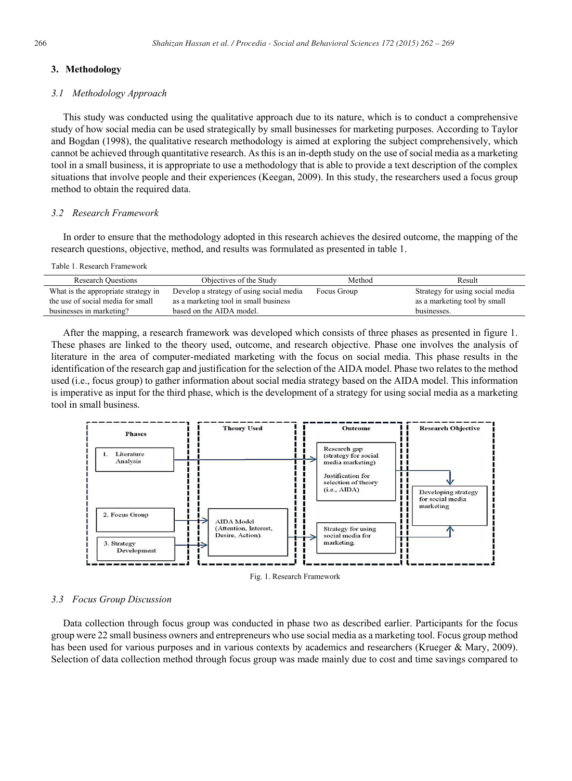#### **3. Methodology**

#### *3.1 Methodology Approach*

This study was conducted using the qualitative approach due to its nature, which is to conduct a comprehensive study of how social media can be used strategically by small businesses for marketing purposes. According to Taylor and Bogdan (1998), the qualitative research methodology is aimed at exploring the subject comprehensively, which cannot be achieved through quantitative research. As this is an in-depth study on the use of social media as a marketing tool in a small business, it is appropriate to use a methodology that is able to provide a text description of the complex situations that involve people and their experiences (Keegan, 2009). In this study, the researchers used a focus group method to obtain the required data.

# *3.2 Research Framework*

In order to ensure that the methodology adopted in this research achieves the desired outcome, the mapping of the research questions, objective, method, and results was formulated as presented in table 1.

#### Table 1. Research Framework

| <b>Research Ouestions</b>           | Objectives of the Study                  | Method      | Result                          |
|-------------------------------------|------------------------------------------|-------------|---------------------------------|
| What is the appropriate strategy in | Develop a strategy of using social media | Focus Group | Strategy for using social media |
| the use of social media for small   | as a marketing tool in small business    |             | as a marketing tool by small    |
| businesses in marketing?            | based on the AIDA model.                 |             | businesses.                     |
|                                     |                                          |             |                                 |

After the mapping, a research framework was developed which consists of three phases as presented in figure 1. These phases are linked to the theory used, outcome, and research objective. Phase one involves the analysis of literature in the area of computer-mediated marketing with the focus on social media. This phase results in the identification of the research gap and justification for the selection of the AIDA model. Phase two relates to the method used (i.e., focus group) to gather information about social media strategy based on the AIDA model. This information is imperative as input for the third phase, which is the development of a strategy for using social media as a marketing tool in small business.



Fig. 1. Research Framework

# *3.3 Focus Group Discussion*

Data collection through focus group was conducted in phase two as described earlier. Participants for the focus group were 22 small business owners and entrepreneurs who use social media as a marketing tool. Focus group method has been used for various purposes and in various contexts by academics and researchers (Krueger & Mary, 2009). Selection of data collection method through focus group was made mainly due to cost and time savings compared to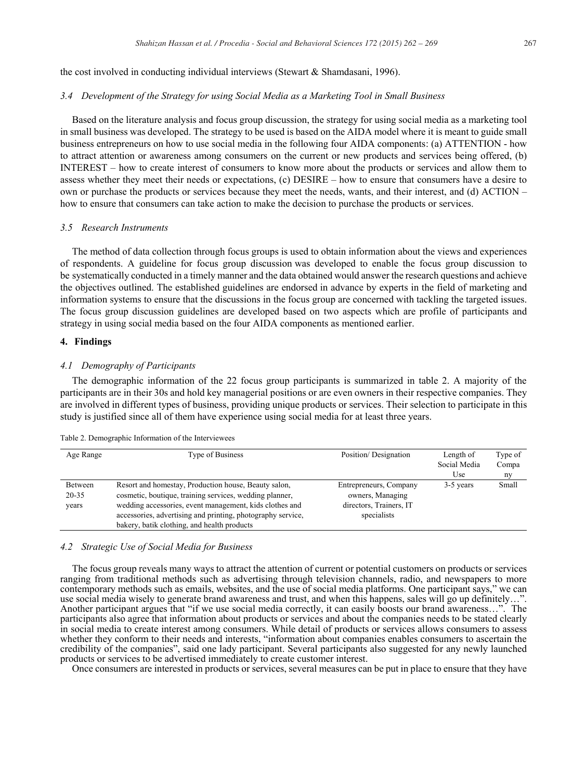the cost involved in conducting individual interviews (Stewart & Shamdasani, 1996).

#### *3.4 Development of the Strategy for using Social Media as a Marketing Tool in Small Business*

Based on the literature analysis and focus group discussion, the strategy for using social media as a marketing tool in small business was developed. The strategy to be used is based on the AIDA model where it is meant to guide small business entrepreneurs on how to use social media in the following four AIDA components: (a) ATTENTION - how to attract attention or awareness among consumers on the current or new products and services being offered, (b) INTEREST – how to create interest of consumers to know more about the products or services and allow them to assess whether they meet their needs or expectations, (c) DESIRE – how to ensure that consumers have a desire to own or purchase the products or services because they meet the needs, wants, and their interest, and (d) ACTION – how to ensure that consumers can take action to make the decision to purchase the products or services.

## *3.5 Research Instruments*

The method of data collection through focus groups is used to obtain information about the views and experiences of respondents. A guideline for focus group discussion was developed to enable the focus group discussion to be systematically conducted in a timely manner and the data obtained would answer the research questions and achieve the objectives outlined. The established guidelines are endorsed in advance by experts in the field of marketing and information systems to ensure that the discussions in the focus group are concerned with tackling the targeted issues. The focus group discussion guidelines are developed based on two aspects which are profile of participants and strategy in using social media based on the four AIDA components as mentioned earlier.

# **4. Findings**

# *4.1 Demography of Participants*

The demographic information of the 22 focus group participants is summarized in table 2. A majority of the participants are in their 30s and hold key managerial positions or are even owners in their respective companies. They are involved in different types of business, providing unique products or services. Their selection to participate in this study is justified since all of them have experience using social media for at least three years.

| Age Range | Type of Business                                            | Position/Designation    | Length of    | Type of |
|-----------|-------------------------------------------------------------|-------------------------|--------------|---------|
|           |                                                             |                         | Social Media | Compa   |
|           |                                                             |                         | Use          | ny      |
| Between   | Resort and homestay, Production house, Beauty salon,        | Entrepreneurs, Company  | 3-5 years    | Small   |
| $20 - 35$ | cosmetic, boutique, training services, wedding planner,     | owners, Managing        |              |         |
| years     | wedding accessories, event management, kids clothes and     | directors, Trainers, IT |              |         |
|           | accessories, advertising and printing, photography service, | specialists             |              |         |
|           | bakery, batik clothing, and health products                 |                         |              |         |

Table 2. Demographic Information of the Interviewees

#### *4.2 Strategic Use of Social Media for Business*

The focus group reveals many ways to attract the attention of current or potential customers on products or services ranging from traditional methods such as advertising through television channels, radio, and newspapers to more contemporary methods such as emails, websites, and the use of social media platforms. One participant says," we can use social media wisely to generate brand awareness and trust, and when this happens, sales will go up definitely…". Another participant argues that "if we use social media correctly, it can easily boosts our brand awareness...". The participants also agree that information about products or services and about the companies needs to be stated clearly in social media to create interest among consumers. While detail of products or services allows consumers to assess whether they conform to their needs and interests, "information about companies enables consumers to ascertain the credibility of the companies", said one lady participant. Several participants also suggested for any newly launched products or services to be advertised immediately to create customer interest.

Once consumers are interested in products or services, several measures can be put in place to ensure that they have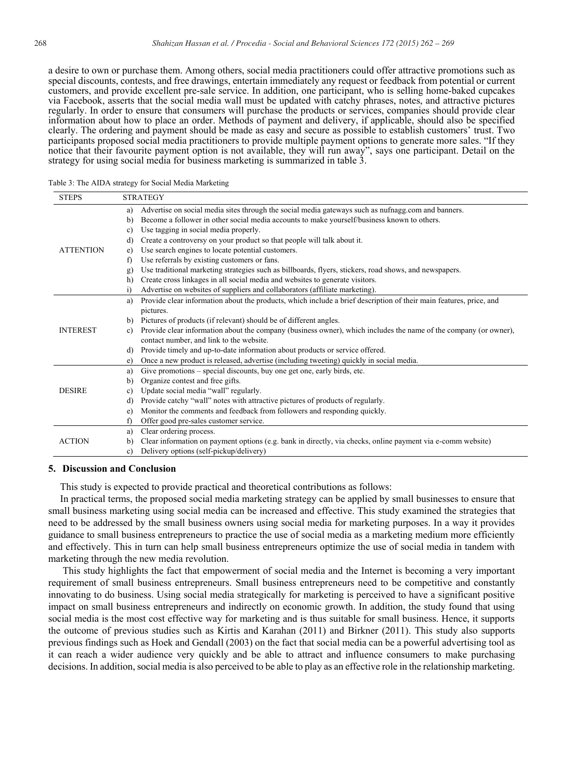a desire to own or purchase them. Among others, social media practitioners could offer attractive promotions such as special discounts, contests, and free drawings, entertain immediately any request or feedback from potential or current customers, and provide excellent pre-sale service. In addition, one participant, who is selling home-baked cupcakes via Facebook, asserts that the social media wall must be updated with catchy phrases, notes, and attractive pictures regularly. In order to ensure that consumers will purchase the products or services, companies should provide clear information about how to place an order. Methods of payment and delivery, if applicable, should also be specified clearly. The ordering and payment should be made as easy and secure as possible to establish customers' trust. Two participants proposed social media practitioners to provide multiple payment options to generate more sales. "If they notice that their favourite payment option is not available, they will run away", says one participant. Detail on the strategy for using social media for business marketing is summarized in table 3.

| Table 3: The AIDA strategy for Social Media Marketing |  |  |  |  |
|-------------------------------------------------------|--|--|--|--|
|-------------------------------------------------------|--|--|--|--|

| <b>STEPS</b>     | <b>STRATEGY</b>                                                                                                                  |  |
|------------------|----------------------------------------------------------------------------------------------------------------------------------|--|
|                  | Advertise on social media sites through the social media gateways such as nuffiagg com and banners.<br>a)                        |  |
|                  | Become a follower in other social media accounts to make yourself/business known to others.<br>b)                                |  |
|                  | Use tagging in social media properly.<br>c)                                                                                      |  |
|                  | Create a controversy on your product so that people will talk about it.<br>d)                                                    |  |
| <b>ATTENTION</b> | Use search engines to locate potential customers.<br>e)                                                                          |  |
|                  | Use referrals by existing customers or fans.<br>f)                                                                               |  |
|                  | Use traditional marketing strategies such as billboards, flyers, stickers, road shows, and newspapers.<br>g)                     |  |
|                  | Create cross linkages in all social media and websites to generate visitors.<br>h)                                               |  |
|                  | Advertise on websites of suppliers and collaborators (affiliate marketing).<br>i)                                                |  |
|                  | Provide clear information about the products, which include a brief description of their main features, price, and<br>a)         |  |
|                  | pictures.                                                                                                                        |  |
|                  | Pictures of products (if relevant) should be of different angles.<br>b)                                                          |  |
| <b>INTEREST</b>  | Provide clear information about the company (business owner), which includes the name of the company (or owner),<br>$\mathbf{c}$ |  |
|                  | contact number, and link to the website.                                                                                         |  |
|                  | Provide timely and up-to-date information about products or service offered.<br>d)                                               |  |
|                  | Once a new product is released, advertise (including tweeting) quickly in social media.<br>e)                                    |  |
|                  | Give promotions – special discounts, buy one get one, early birds, etc.<br>a)                                                    |  |
|                  | Organize contest and free gifts.<br>b)                                                                                           |  |
| <b>DESIRE</b>    | Update social media "wall" regularly.<br>$\mathbf{c}$                                                                            |  |
|                  | Provide catchy "wall" notes with attractive pictures of products of regularly.<br>d)                                             |  |
|                  | Monitor the comments and feedback from followers and responding quickly.<br>e)                                                   |  |
|                  | Offer good pre-sales customer service.<br>f)                                                                                     |  |
|                  | Clear ordering process.<br>a)                                                                                                    |  |
| <b>ACTION</b>    | Clear information on payment options (e.g. bank in directly, via checks, online payment via e-comm website)<br>b)                |  |
|                  | Delivery options (self-pickup/delivery)<br>c)                                                                                    |  |

#### **5. Discussion and Conclusion**

This study is expected to provide practical and theoretical contributions as follows:

In practical terms, the proposed social media marketing strategy can be applied by small businesses to ensure that small business marketing using social media can be increased and effective. This study examined the strategies that need to be addressed by the small business owners using social media for marketing purposes. In a way it provides guidance to small business entrepreneurs to practice the use of social media as a marketing medium more efficiently and effectively. This in turn can help small business entrepreneurs optimize the use of social media in tandem with marketing through the new media revolution.

This study highlights the fact that empowerment of social media and the Internet is becoming a very important requirement of small business entrepreneurs. Small business entrepreneurs need to be competitive and constantly innovating to do business. Using social media strategically for marketing is perceived to have a significant positive impact on small business entrepreneurs and indirectly on economic growth. In addition, the study found that using social media is the most cost effective way for marketing and is thus suitable for small business. Hence, it supports the outcome of previous studies such as Kirtis and Karahan (2011) and Birkner (2011). This study also supports previous findings such as Hoek and Gendall (2003) on the fact that social media can be a powerful advertising tool as it can reach a wider audience very quickly and be able to attract and influence consumers to make purchasing decisions. In addition, social media is also perceived to be able to play as an effective role in the relationship marketing.